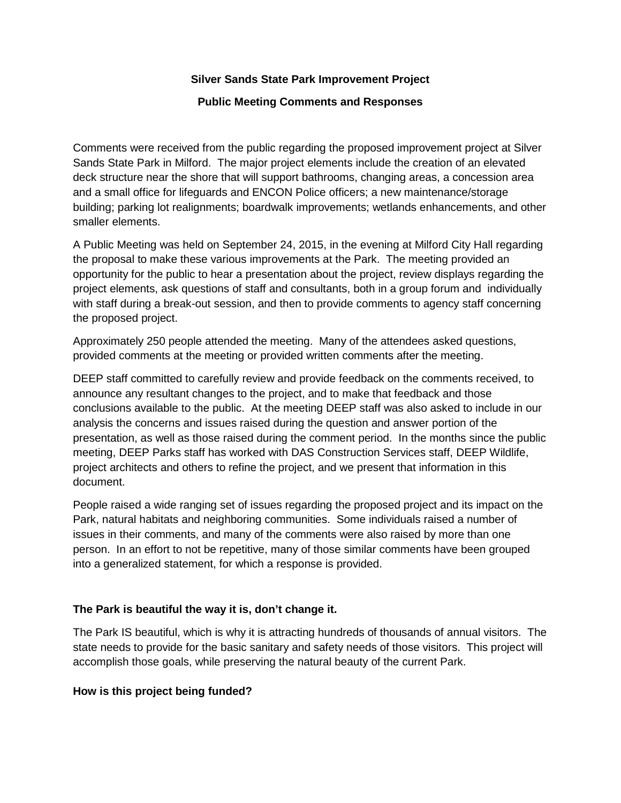### **Silver Sands State Park Improvement Project**

#### **Public Meeting Comments and Responses**

Comments were received from the public regarding the proposed improvement project at Silver Sands State Park in Milford. The major project elements include the creation of an elevated deck structure near the shore that will support bathrooms, changing areas, a concession area and a small office for lifeguards and ENCON Police officers; a new maintenance/storage building; parking lot realignments; boardwalk improvements; wetlands enhancements, and other smaller elements.

A Public Meeting was held on September 24, 2015, in the evening at Milford City Hall regarding the proposal to make these various improvements at the Park. The meeting provided an opportunity for the public to hear a presentation about the project, review displays regarding the project elements, ask questions of staff and consultants, both in a group forum and individually with staff during a break-out session, and then to provide comments to agency staff concerning the proposed project.

Approximately 250 people attended the meeting. Many of the attendees asked questions, provided comments at the meeting or provided written comments after the meeting.

DEEP staff committed to carefully review and provide feedback on the comments received, to announce any resultant changes to the project, and to make that feedback and those conclusions available to the public. At the meeting DEEP staff was also asked to include in our analysis the concerns and issues raised during the question and answer portion of the presentation, as well as those raised during the comment period. In the months since the public meeting, DEEP Parks staff has worked with DAS Construction Services staff, DEEP Wildlife, project architects and others to refine the project, and we present that information in this document.

People raised a wide ranging set of issues regarding the proposed project and its impact on the Park, natural habitats and neighboring communities. Some individuals raised a number of issues in their comments, and many of the comments were also raised by more than one person. In an effort to not be repetitive, many of those similar comments have been grouped into a generalized statement, for which a response is provided.

### **The Park is beautiful the way it is, don't change it.**

The Park IS beautiful, which is why it is attracting hundreds of thousands of annual visitors. The state needs to provide for the basic sanitary and safety needs of those visitors. This project will accomplish those goals, while preserving the natural beauty of the current Park.

### **How is this project being funded?**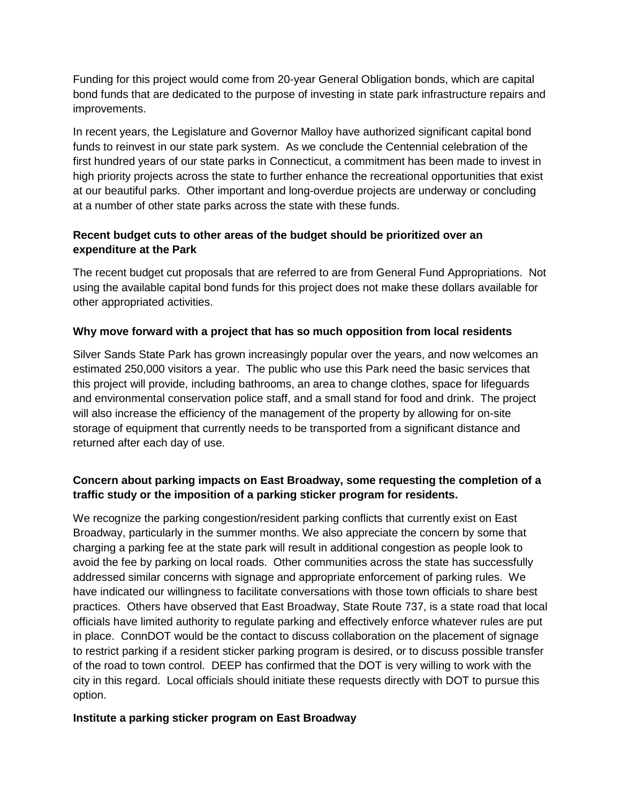Funding for this project would come from 20-year General Obligation bonds, which are capital bond funds that are dedicated to the purpose of investing in state park infrastructure repairs and improvements.

In recent years, the Legislature and Governor Malloy have authorized significant capital bond funds to reinvest in our state park system. As we conclude the Centennial celebration of the first hundred years of our state parks in Connecticut, a commitment has been made to invest in high priority projects across the state to further enhance the recreational opportunities that exist at our beautiful parks. Other important and long-overdue projects are underway or concluding at a number of other state parks across the state with these funds.

## **Recent budget cuts to other areas of the budget should be prioritized over an expenditure at the Park**

The recent budget cut proposals that are referred to are from General Fund Appropriations. Not using the available capital bond funds for this project does not make these dollars available for other appropriated activities.

## **Why move forward with a project that has so much opposition from local residents**

Silver Sands State Park has grown increasingly popular over the years, and now welcomes an estimated 250,000 visitors a year. The public who use this Park need the basic services that this project will provide, including bathrooms, an area to change clothes, space for lifeguards and environmental conservation police staff, and a small stand for food and drink. The project will also increase the efficiency of the management of the property by allowing for on-site storage of equipment that currently needs to be transported from a significant distance and returned after each day of use.

# **Concern about parking impacts on East Broadway, some requesting the completion of a traffic study or the imposition of a parking sticker program for residents.**

We recognize the parking congestion/resident parking conflicts that currently exist on East Broadway, particularly in the summer months. We also appreciate the concern by some that charging a parking fee at the state park will result in additional congestion as people look to avoid the fee by parking on local roads. Other communities across the state has successfully addressed similar concerns with signage and appropriate enforcement of parking rules. We have indicated our willingness to facilitate conversations with those town officials to share best practices. Others have observed that East Broadway, State Route 737, is a state road that local officials have limited authority to regulate parking and effectively enforce whatever rules are put in place. ConnDOT would be the contact to discuss collaboration on the placement of signage to restrict parking if a resident sticker parking program is desired, or to discuss possible transfer of the road to town control. DEEP has confirmed that the DOT is very willing to work with the city in this regard. Local officials should initiate these requests directly with DOT to pursue this option.

## **Institute a parking sticker program on East Broadway**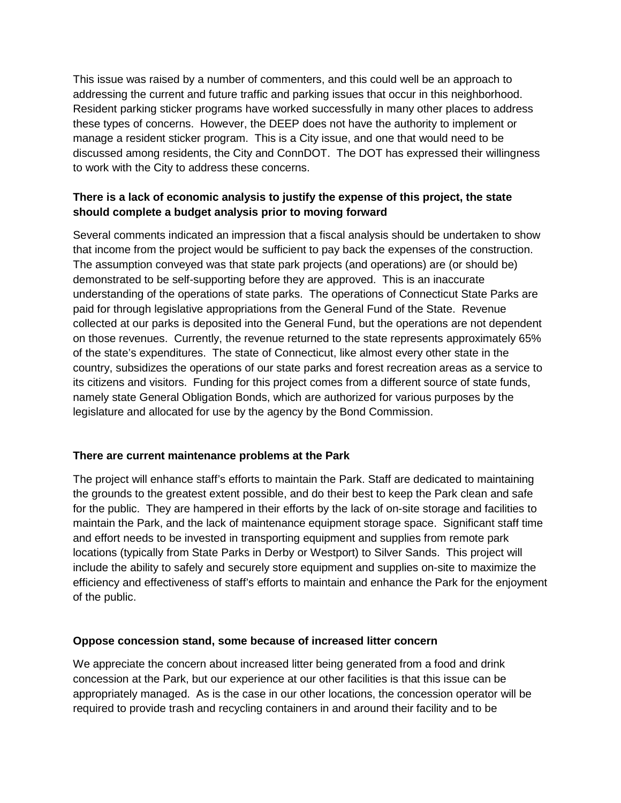This issue was raised by a number of commenters, and this could well be an approach to addressing the current and future traffic and parking issues that occur in this neighborhood. Resident parking sticker programs have worked successfully in many other places to address these types of concerns. However, the DEEP does not have the authority to implement or manage a resident sticker program. This is a City issue, and one that would need to be discussed among residents, the City and ConnDOT. The DOT has expressed their willingness to work with the City to address these concerns.

## **There is a lack of economic analysis to justify the expense of this project, the state should complete a budget analysis prior to moving forward**

Several comments indicated an impression that a fiscal analysis should be undertaken to show that income from the project would be sufficient to pay back the expenses of the construction. The assumption conveyed was that state park projects (and operations) are (or should be) demonstrated to be self-supporting before they are approved. This is an inaccurate understanding of the operations of state parks. The operations of Connecticut State Parks are paid for through legislative appropriations from the General Fund of the State. Revenue collected at our parks is deposited into the General Fund, but the operations are not dependent on those revenues. Currently, the revenue returned to the state represents approximately 65% of the state's expenditures. The state of Connecticut, like almost every other state in the country, subsidizes the operations of our state parks and forest recreation areas as a service to its citizens and visitors. Funding for this project comes from a different source of state funds, namely state General Obligation Bonds, which are authorized for various purposes by the legislature and allocated for use by the agency by the Bond Commission.

## **There are current maintenance problems at the Park**

The project will enhance staff's efforts to maintain the Park. Staff are dedicated to maintaining the grounds to the greatest extent possible, and do their best to keep the Park clean and safe for the public. They are hampered in their efforts by the lack of on-site storage and facilities to maintain the Park, and the lack of maintenance equipment storage space. Significant staff time and effort needs to be invested in transporting equipment and supplies from remote park locations (typically from State Parks in Derby or Westport) to Silver Sands. This project will include the ability to safely and securely store equipment and supplies on-site to maximize the efficiency and effectiveness of staff's efforts to maintain and enhance the Park for the enjoyment of the public.

### **Oppose concession stand, some because of increased litter concern**

We appreciate the concern about increased litter being generated from a food and drink concession at the Park, but our experience at our other facilities is that this issue can be appropriately managed. As is the case in our other locations, the concession operator will be required to provide trash and recycling containers in and around their facility and to be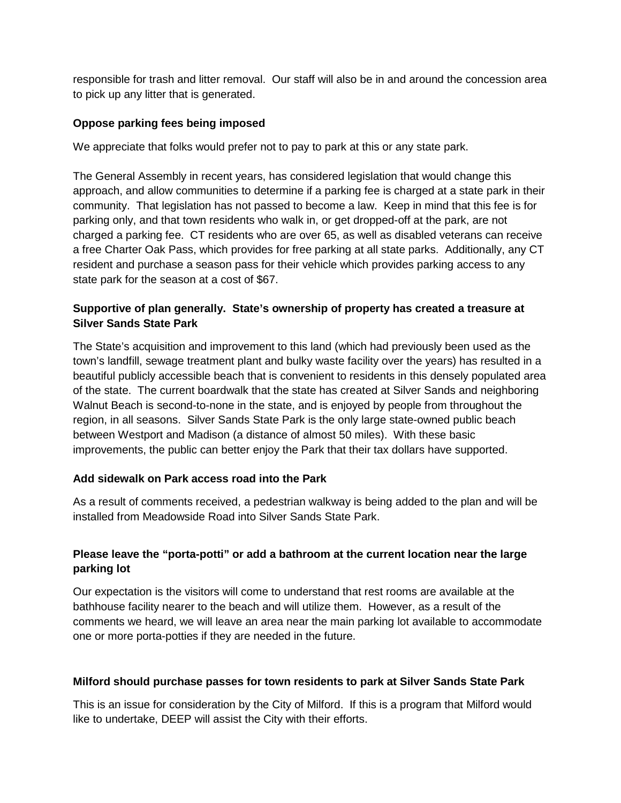responsible for trash and litter removal. Our staff will also be in and around the concession area to pick up any litter that is generated.

### **Oppose parking fees being imposed**

We appreciate that folks would prefer not to pay to park at this or any state park.

The General Assembly in recent years, has considered legislation that would change this approach, and allow communities to determine if a parking fee is charged at a state park in their community. That legislation has not passed to become a law. Keep in mind that this fee is for parking only, and that town residents who walk in, or get dropped-off at the park, are not charged a parking fee. CT residents who are over 65, as well as disabled veterans can receive a free Charter Oak Pass, which provides for free parking at all state parks. Additionally, any CT resident and purchase a season pass for their vehicle which provides parking access to any state park for the season at a cost of \$67.

## **Supportive of plan generally. State's ownership of property has created a treasure at Silver Sands State Park**

The State's acquisition and improvement to this land (which had previously been used as the town's landfill, sewage treatment plant and bulky waste facility over the years) has resulted in a beautiful publicly accessible beach that is convenient to residents in this densely populated area of the state. The current boardwalk that the state has created at Silver Sands and neighboring Walnut Beach is second-to-none in the state, and is enjoyed by people from throughout the region, in all seasons. Silver Sands State Park is the only large state-owned public beach between Westport and Madison (a distance of almost 50 miles). With these basic improvements, the public can better enjoy the Park that their tax dollars have supported.

### **Add sidewalk on Park access road into the Park**

As a result of comments received, a pedestrian walkway is being added to the plan and will be installed from Meadowside Road into Silver Sands State Park.

## **Please leave the "porta-potti" or add a bathroom at the current location near the large parking lot**

Our expectation is the visitors will come to understand that rest rooms are available at the bathhouse facility nearer to the beach and will utilize them. However, as a result of the comments we heard, we will leave an area near the main parking lot available to accommodate one or more porta-potties if they are needed in the future.

### **Milford should purchase passes for town residents to park at Silver Sands State Park**

This is an issue for consideration by the City of Milford. If this is a program that Milford would like to undertake, DEEP will assist the City with their efforts.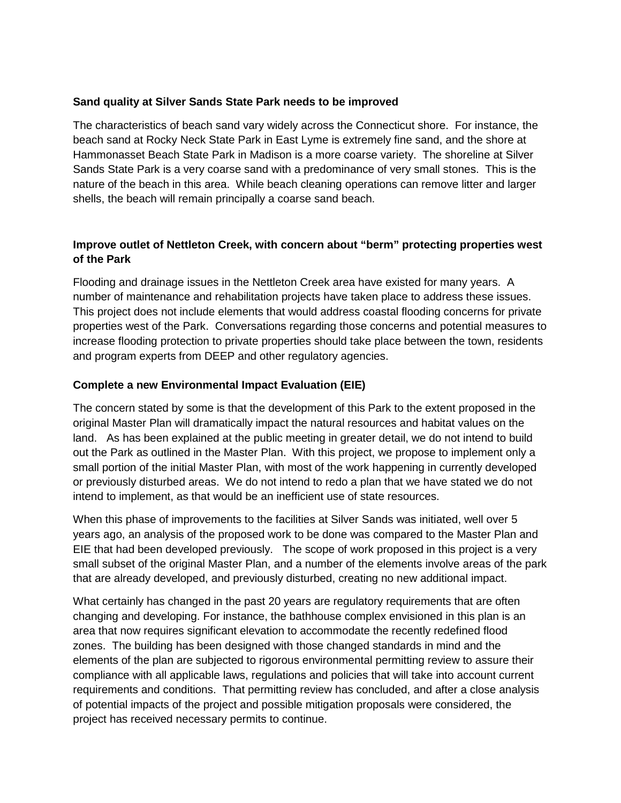#### **Sand quality at Silver Sands State Park needs to be improved**

The characteristics of beach sand vary widely across the Connecticut shore. For instance, the beach sand at Rocky Neck State Park in East Lyme is extremely fine sand, and the shore at Hammonasset Beach State Park in Madison is a more coarse variety. The shoreline at Silver Sands State Park is a very coarse sand with a predominance of very small stones. This is the nature of the beach in this area. While beach cleaning operations can remove litter and larger shells, the beach will remain principally a coarse sand beach.

## **Improve outlet of Nettleton Creek, with concern about "berm" protecting properties west of the Park**

Flooding and drainage issues in the Nettleton Creek area have existed for many years. A number of maintenance and rehabilitation projects have taken place to address these issues. This project does not include elements that would address coastal flooding concerns for private properties west of the Park. Conversations regarding those concerns and potential measures to increase flooding protection to private properties should take place between the town, residents and program experts from DEEP and other regulatory agencies.

### **Complete a new Environmental Impact Evaluation (EIE)**

The concern stated by some is that the development of this Park to the extent proposed in the original Master Plan will dramatically impact the natural resources and habitat values on the land. As has been explained at the public meeting in greater detail, we do not intend to build out the Park as outlined in the Master Plan. With this project, we propose to implement only a small portion of the initial Master Plan, with most of the work happening in currently developed or previously disturbed areas. We do not intend to redo a plan that we have stated we do not intend to implement, as that would be an inefficient use of state resources.

When this phase of improvements to the facilities at Silver Sands was initiated, well over 5 years ago, an analysis of the proposed work to be done was compared to the Master Plan and EIE that had been developed previously. The scope of work proposed in this project is a very small subset of the original Master Plan, and a number of the elements involve areas of the park that are already developed, and previously disturbed, creating no new additional impact.

What certainly has changed in the past 20 years are regulatory requirements that are often changing and developing. For instance, the bathhouse complex envisioned in this plan is an area that now requires significant elevation to accommodate the recently redefined flood zones. The building has been designed with those changed standards in mind and the elements of the plan are subjected to rigorous environmental permitting review to assure their compliance with all applicable laws, regulations and policies that will take into account current requirements and conditions. That permitting review has concluded, and after a close analysis of potential impacts of the project and possible mitigation proposals were considered, the project has received necessary permits to continue.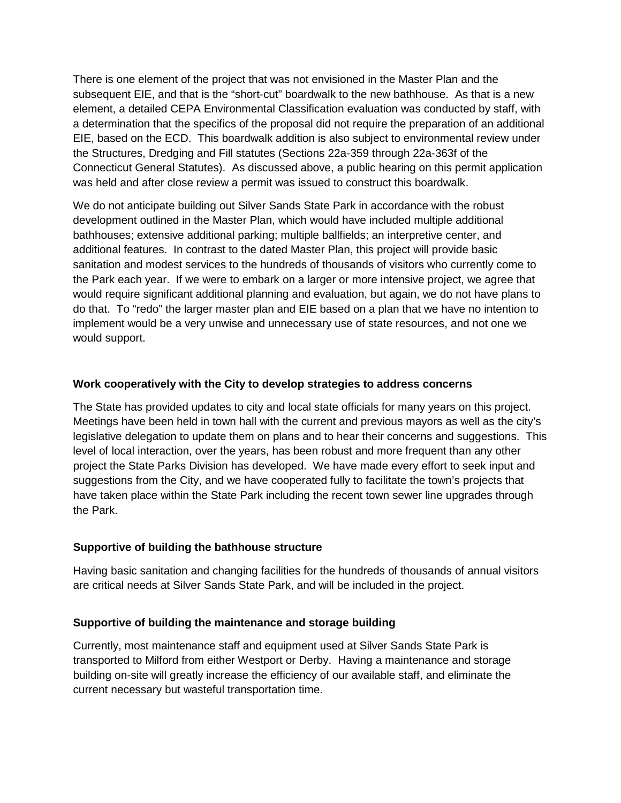There is one element of the project that was not envisioned in the Master Plan and the subsequent EIE, and that is the "short-cut" boardwalk to the new bathhouse. As that is a new element, a detailed CEPA Environmental Classification evaluation was conducted by staff, with a determination that the specifics of the proposal did not require the preparation of an additional EIE, based on the ECD. This boardwalk addition is also subject to environmental review under the Structures, Dredging and Fill statutes (Sections 22a-359 through 22a-363f of the [Connecticut General Statutes\)](http://www.ct.gov/deep/cwp/view.asp?a=2704&q=323512&deepNav_GID=1511). As discussed above, a public hearing on this permit application was held and after close review a permit was issued to construct this boardwalk.

We do not anticipate building out Silver Sands State Park in accordance with the robust development outlined in the Master Plan, which would have included multiple additional bathhouses; extensive additional parking; multiple ballfields; an interpretive center, and additional features. In contrast to the dated Master Plan, this project will provide basic sanitation and modest services to the hundreds of thousands of visitors who currently come to the Park each year. If we were to embark on a larger or more intensive project, we agree that would require significant additional planning and evaluation, but again, we do not have plans to do that. To "redo" the larger master plan and EIE based on a plan that we have no intention to implement would be a very unwise and unnecessary use of state resources, and not one we would support.

### **Work cooperatively with the City to develop strategies to address concerns**

The State has provided updates to city and local state officials for many years on this project. Meetings have been held in town hall with the current and previous mayors as well as the city's legislative delegation to update them on plans and to hear their concerns and suggestions. This level of local interaction, over the years, has been robust and more frequent than any other project the State Parks Division has developed. We have made every effort to seek input and suggestions from the City, and we have cooperated fully to facilitate the town's projects that have taken place within the State Park including the recent town sewer line upgrades through the Park.

### **Supportive of building the bathhouse structure**

Having basic sanitation and changing facilities for the hundreds of thousands of annual visitors are critical needs at Silver Sands State Park, and will be included in the project.

## **Supportive of building the maintenance and storage building**

Currently, most maintenance staff and equipment used at Silver Sands State Park is transported to Milford from either Westport or Derby. Having a maintenance and storage building on-site will greatly increase the efficiency of our available staff, and eliminate the current necessary but wasteful transportation time.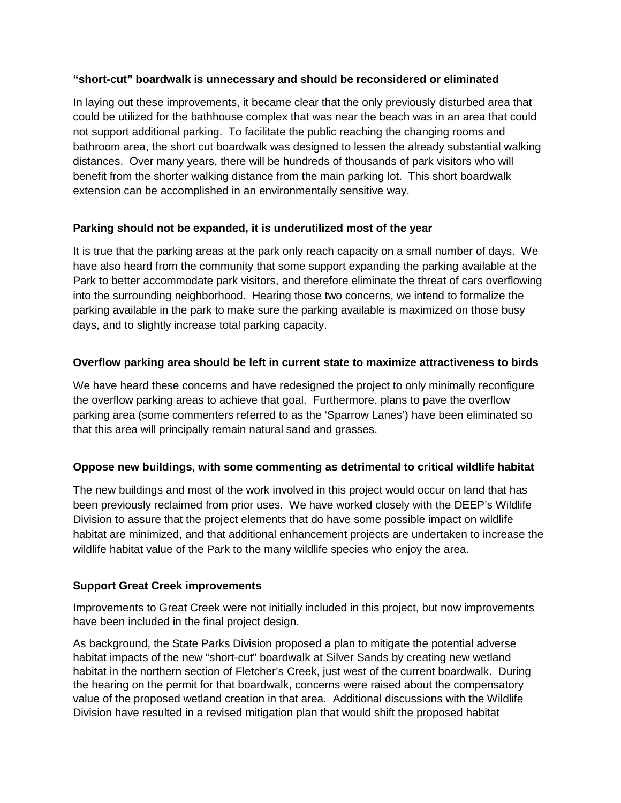### **"short-cut" boardwalk is unnecessary and should be reconsidered or eliminated**

In laying out these improvements, it became clear that the only previously disturbed area that could be utilized for the bathhouse complex that was near the beach was in an area that could not support additional parking. To facilitate the public reaching the changing rooms and bathroom area, the short cut boardwalk was designed to lessen the already substantial walking distances. Over many years, there will be hundreds of thousands of park visitors who will benefit from the shorter walking distance from the main parking lot. This short boardwalk extension can be accomplished in an environmentally sensitive way.

## **Parking should not be expanded, it is underutilized most of the year**

It is true that the parking areas at the park only reach capacity on a small number of days. We have also heard from the community that some support expanding the parking available at the Park to better accommodate park visitors, and therefore eliminate the threat of cars overflowing into the surrounding neighborhood. Hearing those two concerns, we intend to formalize the parking available in the park to make sure the parking available is maximized on those busy days, and to slightly increase total parking capacity.

## **Overflow parking area should be left in current state to maximize attractiveness to birds**

We have heard these concerns and have redesigned the project to only minimally reconfigure the overflow parking areas to achieve that goal. Furthermore, plans to pave the overflow parking area (some commenters referred to as the 'Sparrow Lanes') have been eliminated so that this area will principally remain natural sand and grasses.

### **Oppose new buildings, with some commenting as detrimental to critical wildlife habitat**

The new buildings and most of the work involved in this project would occur on land that has been previously reclaimed from prior uses. We have worked closely with the DEEP's Wildlife Division to assure that the project elements that do have some possible impact on wildlife habitat are minimized, and that additional enhancement projects are undertaken to increase the wildlife habitat value of the Park to the many wildlife species who enjoy the area.

### **Support Great Creek improvements**

Improvements to Great Creek were not initially included in this project, but now improvements have been included in the final project design.

As background, the State Parks Division proposed a plan to mitigate the potential adverse habitat impacts of the new "short-cut" boardwalk at Silver Sands by creating new wetland habitat in the northern section of Fletcher's Creek, just west of the current boardwalk. During the hearing on the permit for that boardwalk, concerns were raised about the compensatory value of the proposed wetland creation in that area. Additional discussions with the Wildlife Division have resulted in a revised mitigation plan that would shift the proposed habitat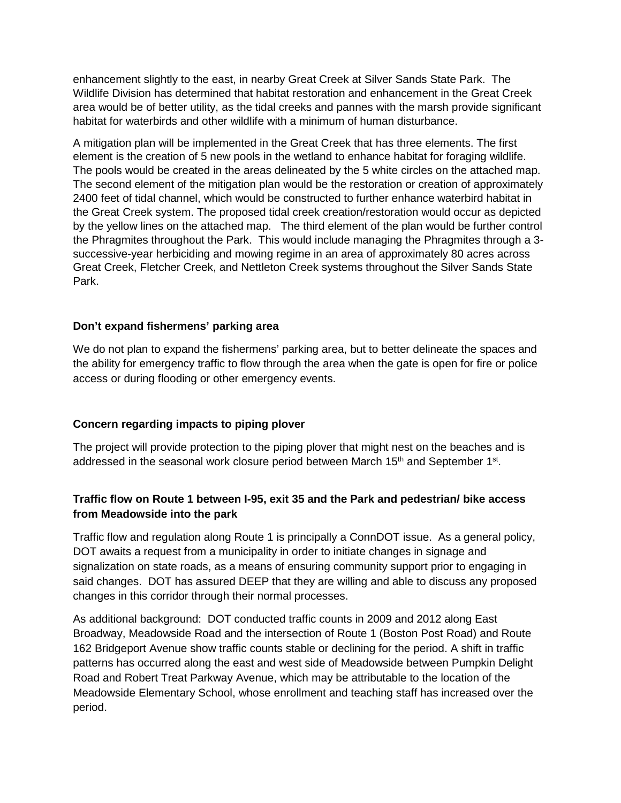enhancement slightly to the east, in nearby Great Creek at Silver Sands State Park. The Wildlife Division has determined that habitat restoration and enhancement in the Great Creek area would be of better utility, as the tidal creeks and pannes with the marsh provide significant habitat for waterbirds and other wildlife with a minimum of human disturbance.

A mitigation plan will be implemented in the Great Creek that has three elements. The first element is the creation of 5 new pools in the wetland to enhance habitat for foraging wildlife. The pools would be created in the areas delineated by the 5 white circles on the attached map. The second element of the mitigation plan would be the restoration or creation of approximately 2400 feet of tidal channel, which would be constructed to further enhance waterbird habitat in the Great Creek system. The proposed tidal creek creation/restoration would occur as depicted by the yellow lines on the attached map. The third element of the plan would be further control the Phragmites throughout the Park. This would include managing the Phragmites through a 3 successive-year herbiciding and mowing regime in an area of approximately 80 acres across Great Creek, Fletcher Creek, and Nettleton Creek systems throughout the Silver Sands State Park.

### **Don't expand fishermens' parking area**

We do not plan to expand the fishermens' parking area, but to better delineate the spaces and the ability for emergency traffic to flow through the area when the gate is open for fire or police access or during flooding or other emergency events.

## **Concern regarding impacts to piping plover**

The project will provide protection to the piping plover that might nest on the beaches and is addressed in the seasonal work closure period between March 15<sup>th</sup> and September 1<sup>st</sup>.

## **Traffic flow on Route 1 between I-95, exit 35 and the Park and pedestrian/ bike access from Meadowside into the park**

Traffic flow and regulation along Route 1 is principally a ConnDOT issue. As a general policy, DOT awaits a request from a municipality in order to initiate changes in signage and signalization on state roads, as a means of ensuring community support prior to engaging in said changes. DOT has assured DEEP that they are willing and able to discuss any proposed changes in this corridor through their normal processes.

As additional background: DOT conducted traffic counts in 2009 and 2012 along East Broadway, Meadowside Road and the intersection of Route 1 (Boston Post Road) and Route 162 Bridgeport Avenue show traffic counts stable or declining for the period. A shift in traffic patterns has occurred along the east and west side of Meadowside between Pumpkin Delight Road and Robert Treat Parkway Avenue, which may be attributable to the location of the Meadowside Elementary School, whose enrollment and teaching staff has increased over the period.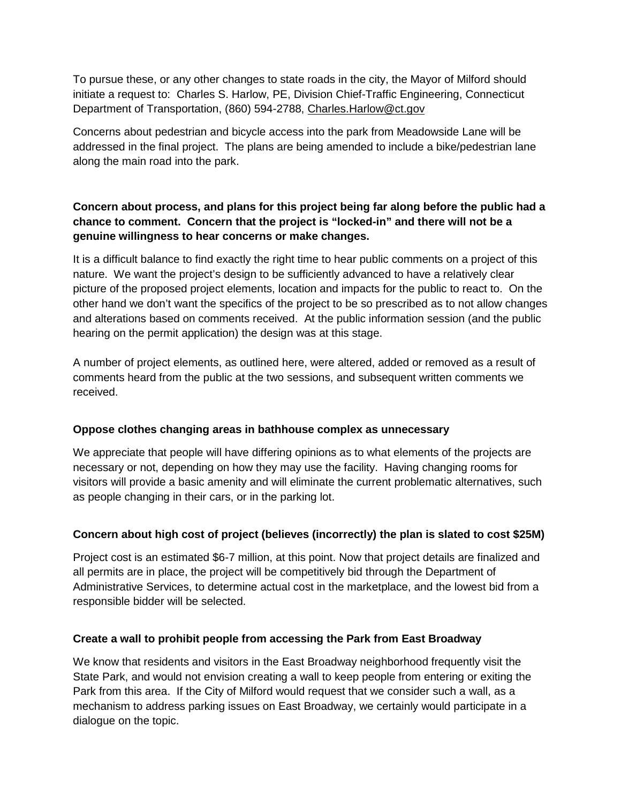To pursue these, or any other changes to state roads in the city, the Mayor of Milford should initiate a request to: Charles S. Harlow, PE, Division Chief-Traffic Engineering, Connecticut Department of Transportation, (860) 594-2788, [Charles.Harlow@ct.gov](mailto:Charles.Harlow@ct.gov)

Concerns about pedestrian and bicycle access into the park from Meadowside Lane will be addressed in the final project. The plans are being amended to include a bike/pedestrian lane along the main road into the park.

# **Concern about process, and plans for this project being far along before the public had a chance to comment. Concern that the project is "locked-in" and there will not be a genuine willingness to hear concerns or make changes.**

It is a difficult balance to find exactly the right time to hear public comments on a project of this nature. We want the project's design to be sufficiently advanced to have a relatively clear picture of the proposed project elements, location and impacts for the public to react to. On the other hand we don't want the specifics of the project to be so prescribed as to not allow changes and alterations based on comments received. At the public information session (and the public hearing on the permit application) the design was at this stage.

A number of project elements, as outlined here, were altered, added or removed as a result of comments heard from the public at the two sessions, and subsequent written comments we received.

## **Oppose clothes changing areas in bathhouse complex as unnecessary**

We appreciate that people will have differing opinions as to what elements of the projects are necessary or not, depending on how they may use the facility. Having changing rooms for visitors will provide a basic amenity and will eliminate the current problematic alternatives, such as people changing in their cars, or in the parking lot.

# **Concern about high cost of project (believes (incorrectly) the plan is slated to cost \$25M)**

Project cost is an estimated \$6-7 million, at this point. Now that project details are finalized and all permits are in place, the project will be competitively bid through the Department of Administrative Services, to determine actual cost in the marketplace, and the lowest bid from a responsible bidder will be selected.

## **Create a wall to prohibit people from accessing the Park from East Broadway**

We know that residents and visitors in the East Broadway neighborhood frequently visit the State Park, and would not envision creating a wall to keep people from entering or exiting the Park from this area. If the City of Milford would request that we consider such a wall, as a mechanism to address parking issues on East Broadway, we certainly would participate in a dialogue on the topic.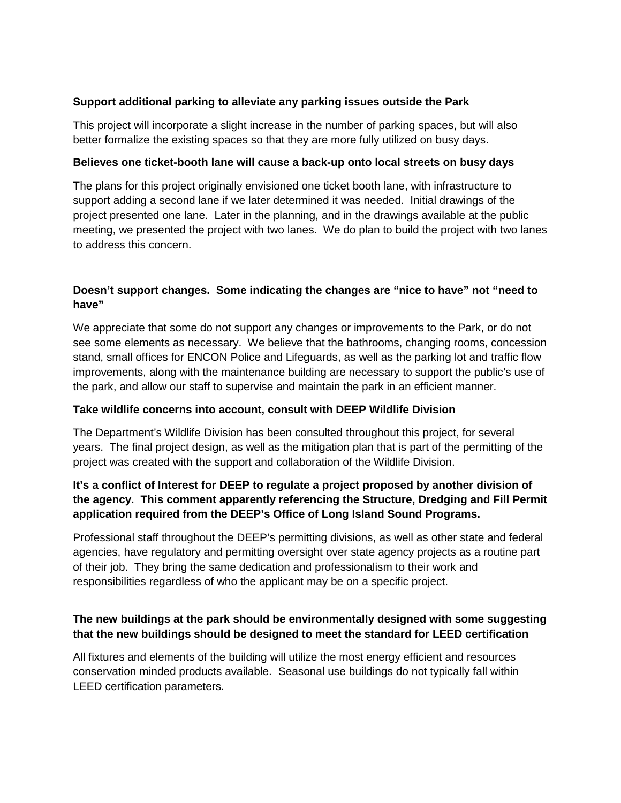### **Support additional parking to alleviate any parking issues outside the Park**

This project will incorporate a slight increase in the number of parking spaces, but will also better formalize the existing spaces so that they are more fully utilized on busy days.

### **Believes one ticket-booth lane will cause a back-up onto local streets on busy days**

The plans for this project originally envisioned one ticket booth lane, with infrastructure to support adding a second lane if we later determined it was needed. Initial drawings of the project presented one lane. Later in the planning, and in the drawings available at the public meeting, we presented the project with two lanes. We do plan to build the project with two lanes to address this concern.

## **Doesn't support changes. Some indicating the changes are "nice to have" not "need to have"**

We appreciate that some do not support any changes or improvements to the Park, or do not see some elements as necessary. We believe that the bathrooms, changing rooms, concession stand, small offices for ENCON Police and Lifeguards, as well as the parking lot and traffic flow improvements, along with the maintenance building are necessary to support the public's use of the park, and allow our staff to supervise and maintain the park in an efficient manner.

## **Take wildlife concerns into account, consult with DEEP Wildlife Division**

The Department's Wildlife Division has been consulted throughout this project, for several years. The final project design, as well as the mitigation plan that is part of the permitting of the project was created with the support and collaboration of the Wildlife Division.

## **It's a conflict of Interest for DEEP to regulate a project proposed by another division of the agency. This comment apparently referencing the Structure, Dredging and Fill Permit application required from the DEEP's Office of Long Island Sound Programs.**

Professional staff throughout the DEEP's permitting divisions, as well as other state and federal agencies, have regulatory and permitting oversight over state agency projects as a routine part of their job. They bring the same dedication and professionalism to their work and responsibilities regardless of who the applicant may be on a specific project.

## **The new buildings at the park should be environmentally designed with some suggesting that the new buildings should be designed to meet the standard for LEED certification**

All fixtures and elements of the building will utilize the most energy efficient and resources conservation minded products available. Seasonal use buildings do not typically fall within LEED certification parameters.